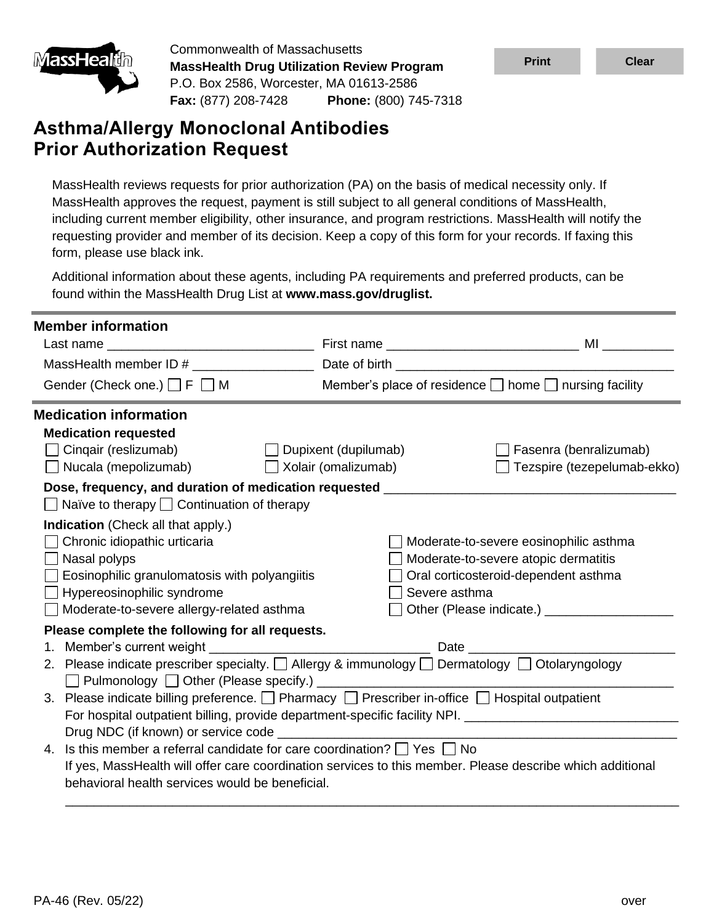

Commonwealth of Massachusetts **MassHealth Drug Utilization Review Program** P.O. Box 2586, Worcester, MA 01613-2586 **Fax:** (877) 208-7428 **Phone:** (800) 745-7318

# **Asthma/Allergy Monoclonal Antibodies Prior Authorization Request**

MassHealth reviews requests for prior authorization (PA) on the basis of medical necessity only. If MassHealth approves the request, payment is still subject to all general conditions of MassHealth, including current member eligibility, other insurance, and program restrictions. MassHealth will notify the requesting provider and member of its decision. Keep a copy of this form for your records. If faxing this form, please use black ink.

Additional information about these agents, including PA requirements and preferred products, can be found within the MassHealth Drug List at **www.mass.gov/druglist.**

| <b>Member information</b>                                                                                      |                             |                                                                 |
|----------------------------------------------------------------------------------------------------------------|-----------------------------|-----------------------------------------------------------------|
|                                                                                                                |                             |                                                                 |
|                                                                                                                |                             |                                                                 |
| Gender (Check one.) $\Box$ F $\Box$ M                                                                          |                             | Member's place of residence $\Box$ home $\Box$ nursing facility |
| <b>Medication information</b>                                                                                  |                             |                                                                 |
| <b>Medication requested</b>                                                                                    |                             |                                                                 |
| Cingair (reslizumab)                                                                                           | $\Box$ Dupixent (dupilumab) | Fasenra (benralizumab)                                          |
| $\Box$ Nucala (mepolizumab)                                                                                    | $\Box$ Xolair (omalizumab)  | $\Box$ Tezspire (tezepelumab-ekko)                              |
| Dose, frequency, and duration of medication requested __________________________                               |                             |                                                                 |
| $\Box$ Naïve to therapy $\Box$ Continuation of therapy                                                         |                             |                                                                 |
| <b>Indication</b> (Check all that apply.)                                                                      |                             |                                                                 |
| Chronic idiopathic urticaria                                                                                   |                             | Moderate-to-severe eosinophilic asthma                          |
| Nasal polyps                                                                                                   |                             | Moderate-to-severe atopic dermatitis                            |
| <b>Eosinophilic granulomatosis with polyangiitis</b>                                                           |                             | Oral corticosteroid-dependent asthma                            |
| Hypereosinophilic syndrome                                                                                     |                             | Severe asthma                                                   |
| Moderate-to-severe allergy-related asthma                                                                      |                             |                                                                 |
| Please complete the following for all requests.                                                                |                             |                                                                 |
|                                                                                                                |                             |                                                                 |
| 2. Please indicate prescriber specialty. □ Allergy & immunology □ Dermatology □ Otolaryngology                 |                             |                                                                 |
| 3. Please indicate billing preference. $\Box$ Pharmacy $\Box$ Prescriber in-office $\Box$ Hospital outpatient  |                             |                                                                 |
| For hospital outpatient billing, provide department-specific facility NPI. ___________________________________ |                             |                                                                 |
|                                                                                                                |                             |                                                                 |
| 4. Is this member a referral candidate for care coordination? $\Box$ Yes $\Box$ No                             |                             |                                                                 |
| If yes, MassHealth will offer care coordination services to this member. Please describe which additional      |                             |                                                                 |
| behavioral health services would be beneficial.                                                                |                             |                                                                 |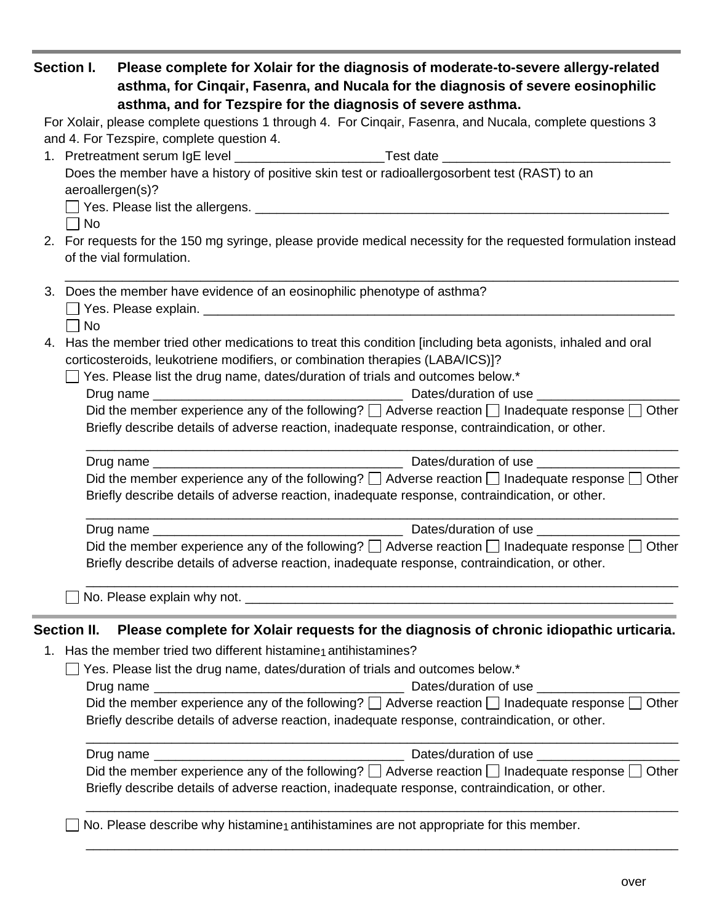|    | <b>Section I.</b>  | Please complete for Xolair for the diagnosis of moderate-to-severe allergy-related<br>asthma, for Cinqair, Fasenra, and Nucala for the diagnosis of severe eosinophilic<br>asthma, and for Tezspire for the diagnosis of severe asthma. |
|----|--------------------|-----------------------------------------------------------------------------------------------------------------------------------------------------------------------------------------------------------------------------------------|
|    |                    | For Xolair, please complete questions 1 through 4. For Cinqair, Fasenra, and Nucala, complete questions 3                                                                                                                               |
|    |                    | and 4. For Tezspire, complete question 4.                                                                                                                                                                                               |
|    |                    | 1. Pretreatment serum IgE level ___________________________Test date _______________________________                                                                                                                                    |
|    |                    | Does the member have a history of positive skin test or radioallergosorbent test (RAST) to an                                                                                                                                           |
|    |                    | aeroallergen(s)?                                                                                                                                                                                                                        |
|    | No                 |                                                                                                                                                                                                                                         |
|    |                    | 2. For requests for the 150 mg syringe, please provide medical necessity for the requested formulation instead                                                                                                                          |
|    |                    | of the vial formulation.                                                                                                                                                                                                                |
|    | No                 | 3. Does the member have evidence of an eosinophilic phenotype of asthma?                                                                                                                                                                |
| 4. |                    | Has the member tried other medications to treat this condition [including beta agonists, inhaled and oral<br>corticosteroids, leukotriene modifiers, or combination therapies (LABA/ICS)]?                                              |
|    |                    | Yes. Please list the drug name, dates/duration of trials and outcomes below.*                                                                                                                                                           |
|    |                    |                                                                                                                                                                                                                                         |
|    |                    | Did the member experience any of the following? $\Box$ Adverse reaction $\Box$ Inadequate response $\Box$ Other<br>Briefly describe details of adverse reaction, inadequate response, contraindication, or other.                       |
|    |                    |                                                                                                                                                                                                                                         |
|    |                    | Did the member experience any of the following? $\Box$ Adverse reaction $\Box$ Inadequate response $\Box$ Other<br>Briefly describe details of adverse reaction, inadequate response, contraindication, or other.                       |
|    |                    |                                                                                                                                                                                                                                         |
|    |                    | Did the member experience any of the following? $\Box$ Adverse reaction $\Box$ Inadequate response $\Box$ Other<br>Briefly describe details of adverse reaction, inadequate response, contraindication, or other.                       |
|    |                    | No. Please explain why not. ___________                                                                                                                                                                                                 |
|    | <b>Section II.</b> | Please complete for Xolair requests for the diagnosis of chronic idiopathic urticaria.                                                                                                                                                  |
|    |                    | 1. Has the member tried two different histamine antihistamines?                                                                                                                                                                         |
|    |                    | Yes. Please list the drug name, dates/duration of trials and outcomes below.*                                                                                                                                                           |
|    |                    | Dates/duration of use                                                                                                                                                                                                                   |
|    |                    | Did the member experience any of the following? $\Box$ Adverse reaction $\Box$ Inadequate response $\Box$ Other<br>Briefly describe details of adverse reaction, inadequate response, contraindication, or other.                       |
|    |                    | Dates/duration of use ___________                                                                                                                                                                                                       |
|    |                    | Did the member experience any of the following? $\Box$ Adverse reaction $\Box$ Inadequate response $\Box$ Other<br>Briefly describe details of adverse reaction, inadequate response, contraindication, or other.                       |
|    |                    | No. Please describe why histamine <sub>1</sub> antihistamines are not appropriate for this member.                                                                                                                                      |

\_\_\_\_\_\_\_\_\_\_\_\_\_\_\_\_\_\_\_\_\_\_\_\_\_\_\_\_\_\_\_\_\_\_\_\_\_\_\_\_\_\_\_\_\_\_\_\_\_\_\_\_\_\_\_\_\_\_\_\_\_\_\_\_\_\_\_\_\_\_\_\_\_\_\_\_\_\_\_\_\_\_\_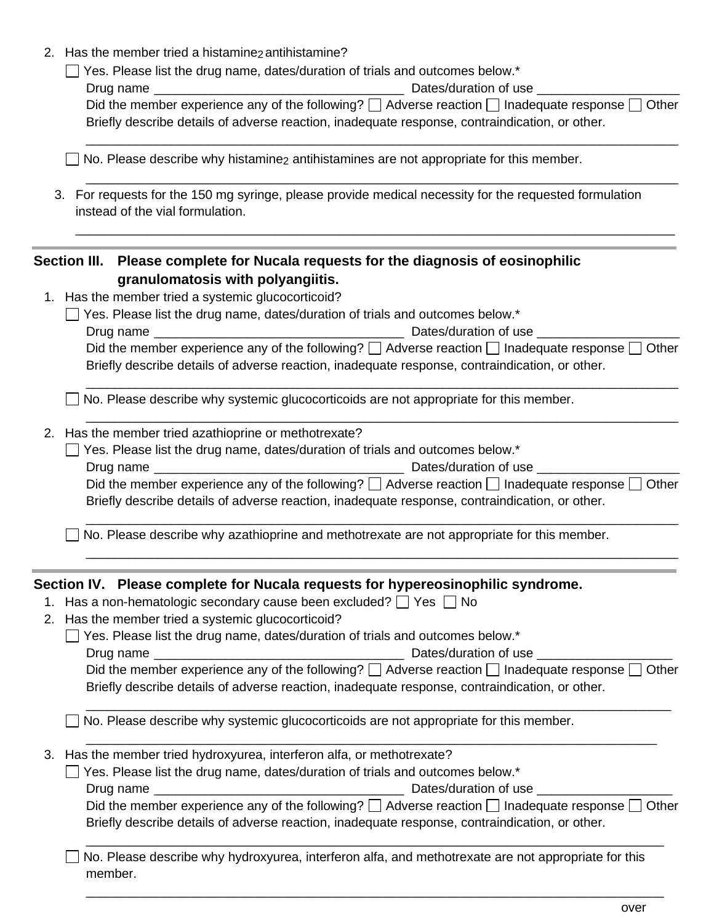2. Has the member tried a histamine<sub>2</sub> antihistamine?

| $\Box$ Yes. Please list the drug name, dates/duration of trials and outcomes below.* |  |
|--------------------------------------------------------------------------------------|--|
|--------------------------------------------------------------------------------------|--|

| Drug name | Dates/duration of use                                                                                                    |
|-----------|--------------------------------------------------------------------------------------------------------------------------|
|           | Did the member experience any of the following? $\square$ Adverse reaction $\square$ Inadequate response $\square$ Other |
|           | Briefly describe details of adverse reaction, inadequate response, contraindication, or other.                           |

\_\_\_\_\_\_\_\_\_\_\_\_\_\_\_\_\_\_\_\_\_\_\_\_\_\_\_\_\_\_\_\_\_\_\_\_\_\_\_\_\_\_\_\_\_\_\_\_\_\_\_\_\_\_\_\_\_\_\_\_\_\_\_\_\_\_\_\_\_\_\_\_\_\_\_\_\_\_\_\_\_\_\_

\_\_\_\_\_\_\_\_\_\_\_\_\_\_\_\_\_\_\_\_\_\_\_\_\_\_\_\_\_\_\_\_\_\_\_\_\_\_\_\_\_\_\_\_\_\_\_\_\_\_\_\_\_\_\_\_\_\_\_\_\_\_\_\_\_\_\_\_\_\_\_\_\_\_\_\_\_\_\_\_\_\_\_

\_\_\_\_\_\_\_\_\_\_\_\_\_\_\_\_\_\_\_\_\_\_\_\_\_\_\_\_\_\_\_\_\_\_\_\_\_\_\_\_\_\_\_\_\_\_\_\_\_\_\_\_\_\_\_\_\_\_\_\_\_\_\_\_\_\_\_\_\_\_\_\_\_\_\_\_\_\_\_\_\_\_\_\_

 $\Box$  No. Please describe why histamine<sub>2</sub> antihistamines are not appropriate for this member.

3. For requests for the 150 mg syringe, please provide medical necessity for the requested formulation instead of the vial formulation.

# **Section III. Please complete for Nucala requests for the diagnosis of eosinophilic granulomatosis with polyangiitis.**

- 1. Has the member tried a systemic glucocorticoid?
	- $\Box$  Yes. Please list the drug name, dates/duration of trials and outcomes below.\*

| Drug name |                                                                                                                 | Dates/duration of use |  |
|-----------|-----------------------------------------------------------------------------------------------------------------|-----------------------|--|
|           | Did the member experience any of the following? $\Box$ Adverse reaction $\Box$ Inadequate response $\Box$ Other |                       |  |
|           | Briefly describe details of adverse reaction, inadequate response, contraindication, or other.                  |                       |  |

\_\_\_\_\_\_\_\_\_\_\_\_\_\_\_\_\_\_\_\_\_\_\_\_\_\_\_\_\_\_\_\_\_\_\_\_\_\_\_\_\_\_\_\_\_\_\_\_\_\_\_\_\_\_\_\_\_\_\_\_\_\_\_\_\_\_\_\_\_\_\_\_\_\_\_\_\_\_\_\_\_\_\_

\_\_\_\_\_\_\_\_\_\_\_\_\_\_\_\_\_\_\_\_\_\_\_\_\_\_\_\_\_\_\_\_\_\_\_\_\_\_\_\_\_\_\_\_\_\_\_\_\_\_\_\_\_\_\_\_\_\_\_\_\_\_\_\_\_\_\_\_\_\_\_\_\_\_\_\_\_\_\_\_\_\_\_

 $\Box$  No. Please describe why systemic glucocorticoids are not appropriate for this member.

#### 2. Has the member tried azathioprine or methotrexate?

|  | $\Box$ Yes. Please list the drug name, dates/duration of trials and outcomes below.* |
|--|--------------------------------------------------------------------------------------|
|--|--------------------------------------------------------------------------------------|

| Drug name                                                                                                       | Dates/duration of use |
|-----------------------------------------------------------------------------------------------------------------|-----------------------|
| Did the member experience any of the following? $\Box$ Adverse reaction $\Box$ Inadequate response $\Box$ Other |                       |
| Briefly describe details of adverse reaction, inadequate response, contraindication, or other.                  |                       |

\_\_\_\_\_\_\_\_\_\_\_\_\_\_\_\_\_\_\_\_\_\_\_\_\_\_\_\_\_\_\_\_\_\_\_\_\_\_\_\_\_\_\_\_\_\_\_\_\_\_\_\_\_\_\_\_\_\_\_\_\_\_\_\_\_\_\_\_\_\_\_\_\_\_\_\_\_\_\_\_\_\_\_

\_\_\_\_\_\_\_\_\_\_\_\_\_\_\_\_\_\_\_\_\_\_\_\_\_\_\_\_\_\_\_\_\_\_\_\_\_\_\_\_\_\_\_\_\_\_\_\_\_\_\_\_\_\_\_\_\_\_\_\_\_\_\_\_\_\_\_\_\_\_\_\_\_\_\_\_\_\_\_\_\_\_\_  $\Box$  No. Please describe why azathioprine and methotrexate are not appropriate for this member.

### **Section IV. Please complete for Nucala requests for hypereosinophilic syndrome.**

- 1. Has a non-hematologic secondary cause been excluded?  $\Box$  Yes  $\Box$  No
- 2. Has the member tried a systemic glucocorticoid?

|           | $\Box$ Yes. Please list the drug name, dates/duration of trials and outcomes below.*                                |
|-----------|---------------------------------------------------------------------------------------------------------------------|
| Drug name | Dates/duration of use                                                                                               |
|           | $\Gamma$ higher proportions on the following $\Gamma$ Adverse resortion $\Gamma$ Inspirator response $\Gamma$ Other |

| Did the member experience any of the following? $\Box$ Adverse reaction $\Box$ Inadequate response $\Box$ Other |  |
|-----------------------------------------------------------------------------------------------------------------|--|
| Briefly describe details of adverse reaction, inadequate response, contraindication, or other.                  |  |

\_\_\_\_\_\_\_\_\_\_\_\_\_\_\_\_\_\_\_\_\_\_\_\_\_\_\_\_\_\_\_\_\_\_\_\_\_\_\_\_\_\_\_\_\_\_\_\_\_\_\_\_\_\_\_\_\_\_\_\_\_\_\_\_\_\_\_\_\_\_\_\_\_\_\_\_\_\_\_\_\_\_

\_\_\_\_\_\_\_\_\_\_\_\_\_\_\_\_\_\_\_\_\_\_\_\_\_\_\_\_\_\_\_\_\_\_\_\_\_\_\_\_\_\_\_\_\_\_\_\_\_\_\_\_\_\_\_\_\_\_\_\_\_\_\_\_\_\_\_\_\_\_\_\_\_\_\_\_\_\_\_\_

 $\Box$  No. Please describe why systemic glucocorticoids are not appropriate for this member.

- 3. Has the member tried hydroxyurea, interferon alfa, or methotrexate?
	- $\Box$  Yes. Please list the drug name, dates/duration of trials and outcomes below.\*

Drug name \_\_\_\_\_\_\_\_\_\_\_\_\_\_\_\_\_\_\_\_\_\_\_\_\_\_\_\_\_\_\_\_\_\_\_ Dates/duration of use \_\_\_\_\_\_\_\_\_\_\_\_\_\_\_\_\_\_\_

| Did the member experience any of the following? $\square$ Adverse reaction $\square$ Inadequate response $\square$ Other |
|--------------------------------------------------------------------------------------------------------------------------|
| Briefly describe details of adverse reaction, inadequate response, contraindication, or other.                           |

\_\_\_\_\_\_\_\_\_\_\_\_\_\_\_\_\_\_\_\_\_\_\_\_\_\_\_\_\_\_\_\_\_\_\_\_\_\_\_\_\_\_\_\_\_\_\_\_\_\_\_\_\_\_\_\_\_\_\_\_\_\_\_\_\_\_\_\_\_\_\_\_\_\_\_\_\_\_\_\_\_

\_\_\_\_\_\_\_\_\_\_\_\_\_\_\_\_\_\_\_\_\_\_\_\_\_\_\_\_\_\_\_\_\_\_\_\_\_\_\_\_\_\_\_\_\_\_\_\_\_\_\_\_\_\_\_\_\_\_\_\_\_\_\_\_\_\_\_\_\_\_\_\_\_\_\_\_\_\_\_\_\_

 $\Box$  No. Please describe why hydroxyurea, interferon alfa, and methotrexate are not appropriate for this member.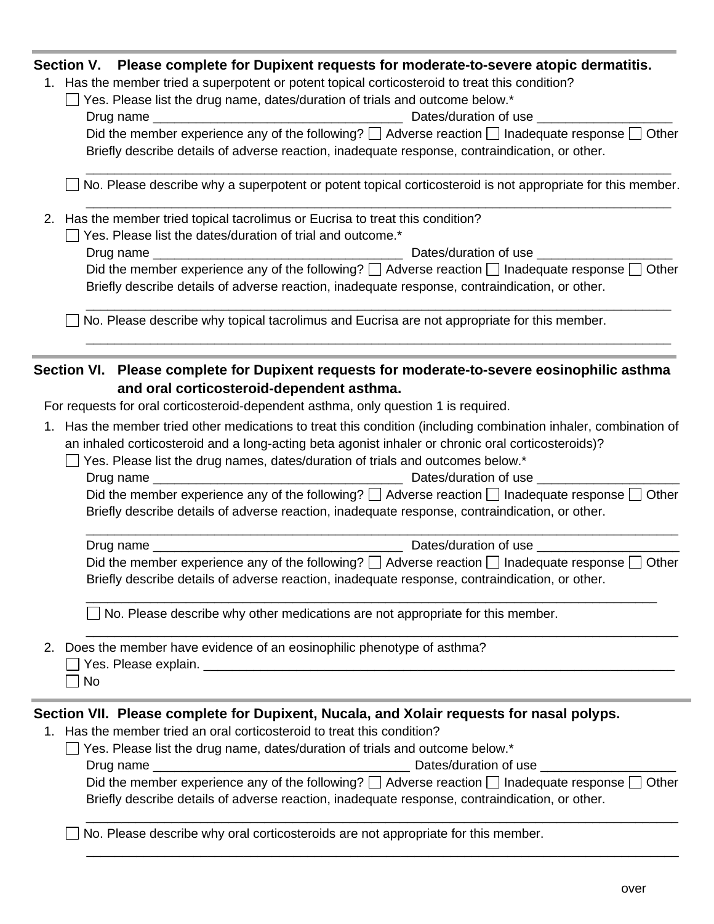## **Section V. Please complete for Dupixent requests for moderate-to-severe atopic dermatitis.**

1. Has the member tried a superpotent or potent topical corticosteroid to treat this condition?

| 1. Has the member thed a superpotent or potent topical conticosteroid to treat this condition?                                            |
|-------------------------------------------------------------------------------------------------------------------------------------------|
| Yes. Please list the drug name, dates/duration of trials and outcome below.*                                                              |
| Dates/duration of use                                                                                                                     |
| Did the member experience any of the following? $\Box$ Adverse reaction $\Box$ Inadequate response $\Box$ Other                           |
| Briefly describe details of adverse reaction, inadequate response, contraindication, or other.                                            |
|                                                                                                                                           |
| No. Please describe why a superpotent or potent topical corticosteroid is not appropriate for this member.                                |
| 2. Has the member tried topical tacrolimus or Eucrisa to treat this condition?                                                            |
| Yes. Please list the dates/duration of trial and outcome.*                                                                                |
| Dates/duration of use                                                                                                                     |
| Did the member experience any of the following? $\Box$ Adverse reaction $\Box$ Inadequate response $\Box$ Other                           |
| Briefly describe details of adverse reaction, inadequate response, contraindication, or other.                                            |
| No. Please describe why topical tacrolimus and Eucrisa are not appropriate for this member.                                               |
|                                                                                                                                           |
| Section VI. Please complete for Dupixent requests for moderate-to-severe eosinophilic asthma<br>and oral corticosteroid-dependent asthma. |
| For requests for oral corticosteroid-dependent asthma, only question 1 is required.                                                       |
|                                                                                                                                           |
| 1. Has the member tried other medications to treat this condition (including combination inhaler, combination of                          |
| an inhaled corticosteroid and a long-acting beta agonist inhaler or chronic oral corticosteroids)?                                        |
| Yes. Please list the drug names, dates/duration of trials and outcomes below.*                                                            |
|                                                                                                                                           |
| Did the member experience any of the following? $\Box$ Adverse reaction $\Box$ Inadequate response $\Box$ Other                           |
| Briefly describe details of adverse reaction, inadequate response, contraindication, or other.                                            |
|                                                                                                                                           |
| Dates/duration of use                                                                                                                     |
| Did the member experience any of the following? $\Box$ Adverse reaction $\Box$ Inadequate response $\Box$ Other                           |
| Briefly describe details of adverse reaction, inadequate response, contraindication, or other.                                            |
| No. Please describe why other medications are not appropriate for this member.                                                            |
| 2. Does the member have evidence of an eosinophilic phenotype of asthma?                                                                  |
|                                                                                                                                           |
| No                                                                                                                                        |
|                                                                                                                                           |
| Section VII. Please complete for Dupixent, Nucala, and Xolair requests for nasal polyps.                                                  |
| 1. Has the member tried an oral corticosteroid to treat this condition?                                                                   |
| Yes. Please list the drug name, dates/duration of trials and outcome below.*                                                              |
| Dates/duration of use                                                                                                                     |
| Did the member experience any of the following? $\Box$ Adverse reaction $\Box$ Inadequate response $\Box$ Other                           |
| Briefly describe details of adverse reaction, inadequate response, contraindication, or other.                                            |
|                                                                                                                                           |

□ No. Please describe why oral corticosteroids are not appropriate for this member.

**Contract Contract** 

\_\_\_\_\_\_\_\_\_\_\_\_\_\_\_\_\_\_\_\_\_\_\_\_\_\_\_\_\_\_\_\_\_\_\_\_\_\_\_\_\_\_\_\_\_\_\_\_\_\_\_\_\_\_\_\_\_\_\_\_\_\_\_\_\_\_\_\_\_\_\_\_\_\_\_\_\_\_\_\_\_\_\_

\_\_\_\_\_\_\_\_\_\_\_\_\_\_\_\_\_\_\_\_\_\_\_\_\_\_\_\_\_\_\_\_\_\_\_\_\_\_\_\_\_\_\_\_\_\_\_\_\_\_\_\_\_\_\_\_\_\_\_\_\_\_\_\_\_\_\_\_\_\_\_\_\_\_\_\_\_\_\_\_\_\_\_